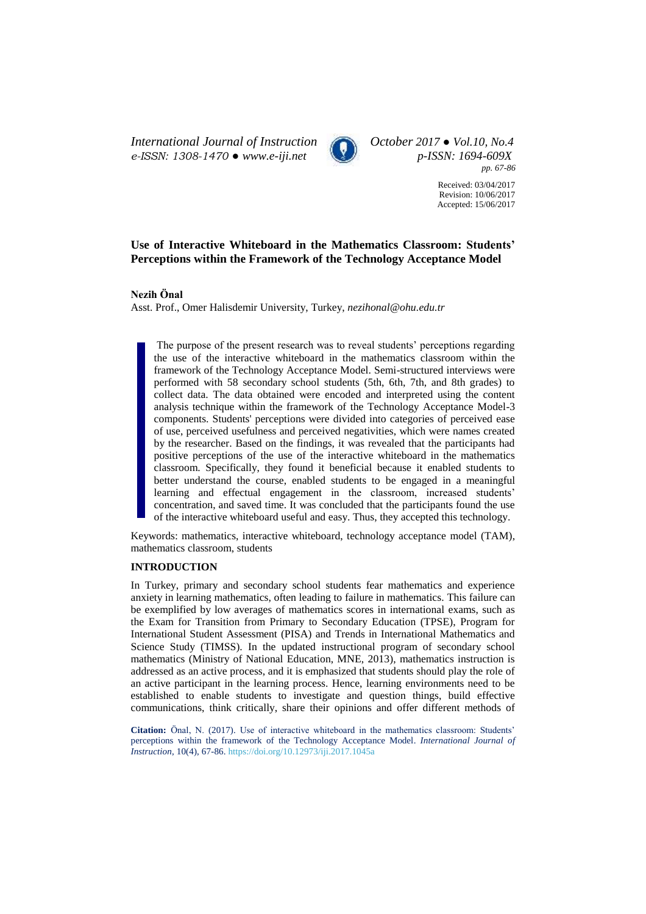*International Journal of Instruction October 2017 ● Vol.10, No.4 e-ISSN: 1308-1470 ● [www.e-iji.net](http://www.e-iji.net/) p-ISSN: 1694-609X*



*pp. 67-86*

Received: 03/04/2017 Revision: 10/06/2017 Accepted: 15/06/2017

# **Use of Interactive Whiteboard in the Mathematics Classroom: Students' Perceptions within the Framework of the Technology Acceptance Model**

**Nezih Önal**

Asst. Prof., Omer Halisdemir University, Turkey, *nezihonal@ohu.edu.tr*

The purpose of the present research was to reveal students' perceptions regarding the use of the interactive whiteboard in the mathematics classroom within the framework of the Technology Acceptance Model. Semi-structured interviews were performed with 58 secondary school students (5th, 6th, 7th, and 8th grades) to collect data. The data obtained were encoded and interpreted using the content analysis technique within the framework of the Technology Acceptance Model-3 components. Students' perceptions were divided into categories of perceived ease of use, perceived usefulness and perceived negativities, which were names created by the researcher. Based on the findings, it was revealed that the participants had positive perceptions of the use of the interactive whiteboard in the mathematics classroom. Specifically, they found it beneficial because it enabled students to better understand the course, enabled students to be engaged in a meaningful learning and effectual engagement in the classroom, increased students' concentration, and saved time. It was concluded that the participants found the use of the interactive whiteboard useful and easy. Thus, they accepted this technology.

Keywords: mathematics, interactive whiteboard, technology acceptance model (TAM), mathematics classroom, students

# **INTRODUCTION**

In Turkey, primary and secondary school students fear mathematics and experience anxiety in learning mathematics, often leading to failure in mathematics. This failure can be exemplified by low averages of mathematics scores in international exams, such as the Exam for Transition from Primary to Secondary Education (TPSE), Program for International Student Assessment (PISA) and Trends in International Mathematics and Science Study (TIMSS). In the updated instructional program of secondary school mathematics (Ministry of National Education, MNE, 2013), mathematics instruction is addressed as an active process, and it is emphasized that students should play the role of an active participant in the learning process. Hence, learning environments need to be established to enable students to investigate and question things, build effective communications, think critically, share their opinions and offer different methods of

**Citation:** Önal, N. (2017). Use of interactive whiteboard in the mathematics classroom: Students' perceptions within the framework of the Technology Acceptance Model. *International Journal of Instruction*, 10(4), 67-86. <https://doi.org/10.12973/iji.2017.1045a>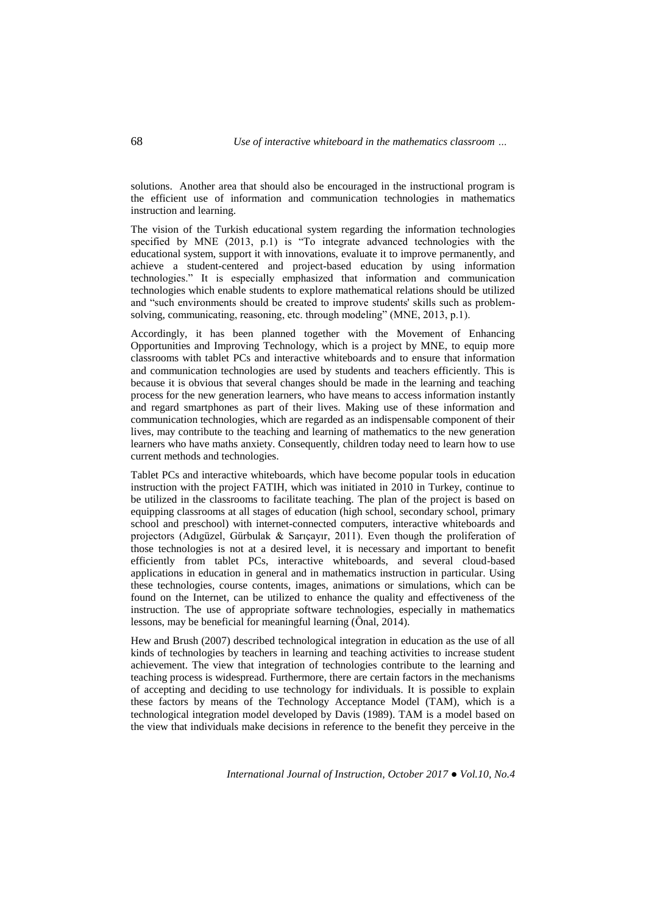solutions. Another area that should also be encouraged in the instructional program is the efficient use of information and communication technologies in mathematics instruction and learning.

The vision of the Turkish educational system regarding the information technologies specified by MNE (2013, p.1) is "To integrate advanced technologies with the educational system, support it with innovations, evaluate it to improve permanently, and achieve a student-centered and project-based education by using information technologies." It is especially emphasized that information and communication technologies which enable students to explore mathematical relations should be utilized and "such environments should be created to improve students' skills such as problemsolving, communicating, reasoning, etc. through modeling" (MNE, 2013, p.1).

Accordingly, it has been planned together with the Movement of Enhancing Opportunities and Improving Technology, which is a project by MNE, to equip more classrooms with tablet PCs and interactive whiteboards and to ensure that information and communication technologies are used by students and teachers efficiently. This is because it is obvious that several changes should be made in the learning and teaching process for the new generation learners, who have means to access information instantly and regard smartphones as part of their lives. Making use of these information and communication technologies, which are regarded as an indispensable component of their lives, may contribute to the teaching and learning of mathematics to the new generation learners who have maths anxiety. Consequently, children today need to learn how to use current methods and technologies.

Tablet PCs and interactive whiteboards, which have become popular tools in education instruction with the project FATIH, which was initiated in 2010 in Turkey, continue to be utilized in the classrooms to facilitate teaching. The plan of the project is based on equipping classrooms at all stages of education (high school, secondary school, primary school and preschool) with internet-connected computers, interactive whiteboards and projectors (Adıgüzel, Gürbulak & Sarıçayır, 2011). Even though the proliferation of those technologies is not at a desired level, it is necessary and important to benefit efficiently from tablet PCs, interactive whiteboards, and several cloud-based applications in education in general and in mathematics instruction in particular. Using these technologies, course contents, images, animations or simulations, which can be found on the Internet, can be utilized to enhance the quality and effectiveness of the instruction. The use of appropriate software technologies, especially in mathematics lessons, may be beneficial for meaningful learning (Önal, 2014).

Hew and Brush (2007) described technological integration in education as the use of all kinds of technologies by teachers in learning and teaching activities to increase student achievement. The view that integration of technologies contribute to the learning and teaching process is widespread. Furthermore, there are certain factors in the mechanisms of accepting and deciding to use technology for individuals. It is possible to explain these factors by means of the Technology Acceptance Model (TAM), which is a technological integration model developed by Davis (1989). TAM is a model based on the view that individuals make decisions in reference to the benefit they perceive in the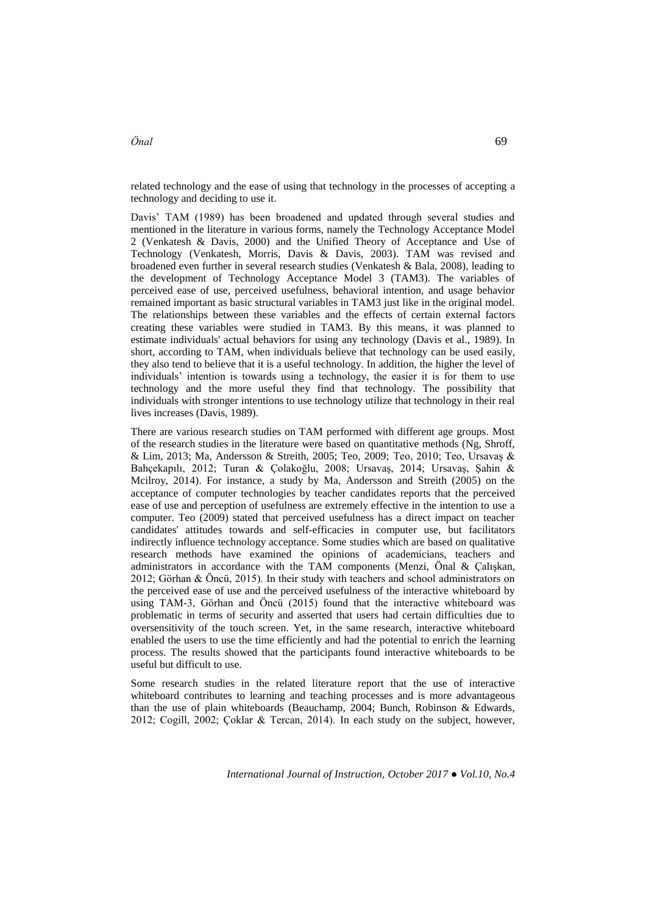# related technology and the ease of using that technology in the processes of accepting a technology and deciding to use it.

Davis' TAM (1989) has been broadened and updated through several studies and mentioned in the literature in various forms, namely the Technology Acceptance Model 2 (Venkatesh & Davis, 2000) and the Unified Theory of Acceptance and Use of Technology (Venkatesh, Morris, Davis & Davis, 2003). TAM was revised and broadened even further in several research studies (Venkatesh & Bala, 2008), leading to the development of Technology Acceptance Model 3 (TAM3). The variables of perceived ease of use, perceived usefulness, behavioral intention, and usage behavior remained important as basic structural variables in TAM3 just like in the original model. The relationships between these variables and the effects of certain external factors creating these variables were studied in TAM3. By this means, it was planned to estimate individuals' actual behaviors for using any technology (Davis et al., 1989). In short, according to TAM, when individuals believe that technology can be used easily, they also tend to believe that it is a useful technology. In addition, the higher the level of individuals' intention is towards using a technology, the easier it is for them to use technology and the more useful they find that technology. The possibility that individuals with stronger intentions to use technology utilize that technology in their real lives increases (Davis, 1989).

There are various research studies on TAM performed with different age groups. Most of the research studies in the literature were based on quantitative methods (Ng, Shroff, & Lim, 2013; Ma, Andersson & Streith, 2005; Teo, 2009; Teo, 2010; Teo, Ursavaş & Bahçekapılı, 2012; Turan & Çolakoğlu, 2008; Ursavaş, 2014; Ursavaş, Şahin & Mcilroy, 2014). For instance, a study by Ma, Andersson and Streith (2005) on the acceptance of computer technologies by teacher candidates reports that the perceived ease of use and perception of usefulness are extremely effective in the intention to use a computer. Teo (2009) stated that perceived usefulness has a direct impact on teacher candidates' attitudes towards and self-efficacies in computer use, but facilitators indirectly influence technology acceptance. Some studies which are based on qualitative research methods have examined the opinions of academicians, teachers and administrators in accordance with the TAM components (Menzi, Önal & Çalışkan, 2012; Görhan & Öncü, 2015). In their study with teachers and school administrators on the perceived ease of use and the perceived usefulness of the interactive whiteboard by using TAM-3, Görhan and Öncü (2015) found that the interactive whiteboard was problematic in terms of security and asserted that users had certain difficulties due to oversensitivity of the touch screen. Yet, in the same research, interactive whiteboard enabled the users to use the time efficiently and had the potential to enrich the learning process. The results showed that the participants found interactive whiteboards to be useful but difficult to use.

Some research studies in the related literature report that the use of interactive whiteboard contributes to learning and teaching processes and is more advantageous than the use of plain whiteboards (Beauchamp, 2004; Bunch, Robinson & Edwards, 2012; Cogill, 2002; Çoklar & Tercan, 2014). In each study on the subject, however,

# *Önal* 69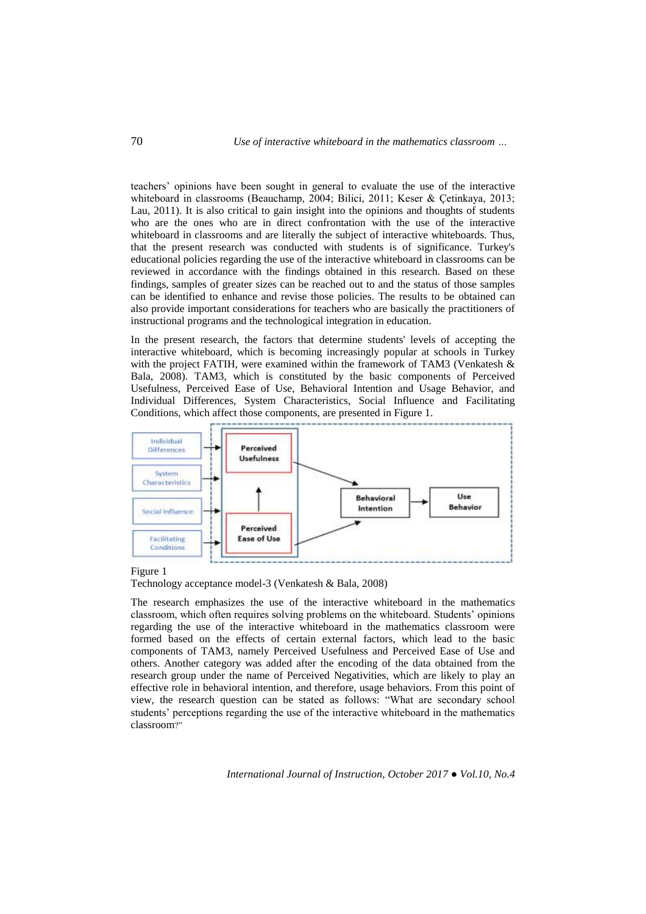teachers' opinions have been sought in general to evaluate the use of the interactive whiteboard in classrooms (Beauchamp, 2004; Bilici, 2011; Keser & Cetinkaya, 2013; Lau, 2011). It is also critical to gain insight into the opinions and thoughts of students who are the ones who are in direct confrontation with the use of the interactive whiteboard in classrooms and are literally the subject of interactive whiteboards. Thus, that the present research was conducted with students is of significance. Turkey's educational policies regarding the use of the interactive whiteboard in classrooms can be reviewed in accordance with the findings obtained in this research. Based on these findings, samples of greater sizes can be reached out to and the status of those samples can be identified to enhance and revise those policies. The results to be obtained can also provide important considerations for teachers who are basically the practitioners of instructional programs and the technological integration in education.

In the present research, the factors that determine students' levels of accepting the interactive whiteboard, which is becoming increasingly popular at schools in Turkey with the project FATIH, were examined within the framework of TAM3 (Venkatesh & Bala, 2008). TAM3, which is constituted by the basic components of Perceived Usefulness, Perceived Ease of Use, Behavioral Intention and Usage Behavior, and Individual Differences, System Characteristics, Social Influence and Facilitating Conditions, which affect those components, are presented in Figure 1.



#### Figure 1

Technology acceptance model-3 (Venkatesh & Bala, 2008)

The research emphasizes the use of the interactive whiteboard in the mathematics classroom, which often requires solving problems on the whiteboard. Students' opinions regarding the use of the interactive whiteboard in the mathematics classroom were formed based on the effects of certain external factors, which lead to the basic components of TAM3, namely Perceived Usefulness and Perceived Ease of Use and others. Another category was added after the encoding of the data obtained from the research group under the name of Perceived Negativities, which are likely to play an effective role in behavioral intention, and therefore, usage behaviors. From this point of view, the research question can be stated as follows: "What are secondary school students' perceptions regarding the use of the interactive whiteboard in the mathematics classroom?"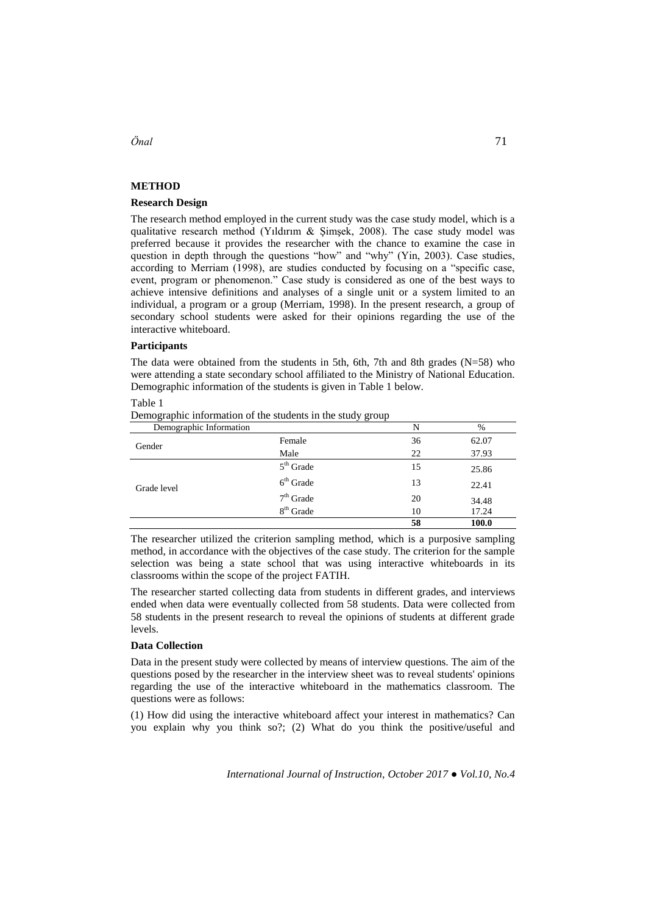# **METHOD**

## **Research Design**

The research method employed in the current study was the case study model, which is a qualitative research method (Yıldırım & Şimşek, 2008). The case study model was preferred because it provides the researcher with the chance to examine the case in question in depth through the questions "how" and "why" (Yin, 2003). Case studies, according to Merriam (1998), are studies conducted by focusing on a "specific case, event, program or phenomenon." Case study is considered as one of the best ways to achieve intensive definitions and analyses of a single unit or a system limited to an individual, a program or a group (Merriam, 1998). In the present research, a group of secondary school students were asked for their opinions regarding the use of the interactive whiteboard.

### **Participants**

The data were obtained from the students in 5th, 6th, 7th and 8th grades (N=58) who were attending a state secondary school affiliated to the Ministry of National Education. Demographic information of the students is given in Table 1 below.

#### Table 1

Demographic information of the students in the study group

| Demographic Information |                       | N  | $\%$  |
|-------------------------|-----------------------|----|-------|
| Gender                  | Female                | 36 | 62.07 |
|                         | Male                  | 22 | 37.93 |
|                         | $5th$ Grade           | 15 | 25.86 |
| Grade level             | $6th$ Grade           | 13 | 22.41 |
|                         | $7th$ Grade           | 20 | 34.48 |
|                         | 8 <sup>th</sup> Grade | 10 | 17.24 |
|                         |                       | 58 | 100.0 |

The researcher utilized the criterion sampling method, which is a purposive sampling method, in accordance with the objectives of the case study. The criterion for the sample selection was being a state school that was using interactive whiteboards in its classrooms within the scope of the project FATIH.

The researcher started collecting data from students in different grades, and interviews ended when data were eventually collected from 58 students. Data were collected from 58 students in the present research to reveal the opinions of students at different grade levels.

# **Data Collection**

Data in the present study were collected by means of interview questions. The aim of the questions posed by the researcher in the interview sheet was to reveal students' opinions regarding the use of the interactive whiteboard in the mathematics classroom. The questions were as follows:

(1) How did using the interactive whiteboard affect your interest in mathematics? Can you explain why you think so?; (2) What do you think the positive/useful and

*International Journal of Instruction, October 2017 ● Vol.10, No.4*

# *Önal* 71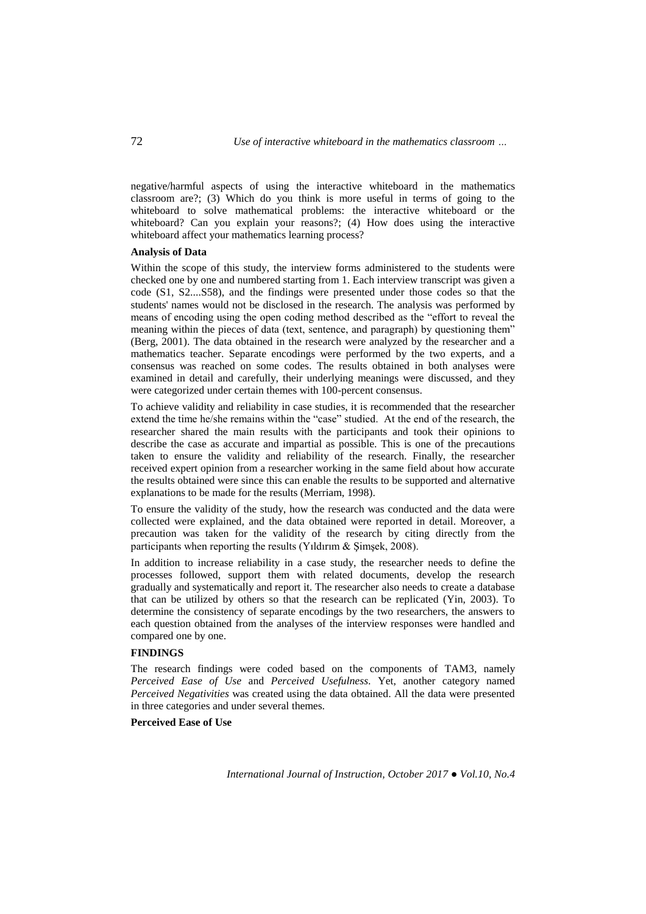negative/harmful aspects of using the interactive whiteboard in the mathematics classroom are?; (3) Which do you think is more useful in terms of going to the whiteboard to solve mathematical problems: the interactive whiteboard or the whiteboard? Can you explain your reasons?; (4) How does using the interactive whiteboard affect your mathematics learning process?

## **Analysis of Data**

Within the scope of this study, the interview forms administered to the students were checked one by one and numbered starting from 1. Each interview transcript was given a code (S1, S2....S58), and the findings were presented under those codes so that the students' names would not be disclosed in the research. The analysis was performed by means of encoding using the open coding method described as the "effort to reveal the meaning within the pieces of data (text, sentence, and paragraph) by questioning them" (Berg, 2001). The data obtained in the research were analyzed by the researcher and a mathematics teacher. Separate encodings were performed by the two experts, and a consensus was reached on some codes. The results obtained in both analyses were examined in detail and carefully, their underlying meanings were discussed, and they were categorized under certain themes with 100-percent consensus.

To achieve validity and reliability in case studies, it is recommended that the researcher extend the time he/she remains within the "case" studied. At the end of the research, the researcher shared the main results with the participants and took their opinions to describe the case as accurate and impartial as possible. This is one of the precautions taken to ensure the validity and reliability of the research. Finally, the researcher received expert opinion from a researcher working in the same field about how accurate the results obtained were since this can enable the results to be supported and alternative explanations to be made for the results (Merriam, 1998).

To ensure the validity of the study, how the research was conducted and the data were collected were explained, and the data obtained were reported in detail. Moreover, a precaution was taken for the validity of the research by citing directly from the participants when reporting the results (Yıldırım & Şimşek, 2008).

In addition to increase reliability in a case study, the researcher needs to define the processes followed, support them with related documents, develop the research gradually and systematically and report it. The researcher also needs to create a database that can be utilized by others so that the research can be replicated (Yin, 2003). To determine the consistency of separate encodings by the two researchers, the answers to each question obtained from the analyses of the interview responses were handled and compared one by one.

# **FINDINGS**

The research findings were coded based on the components of TAM3, namely *Perceived Ease of Use* and *Perceived Usefulness*. Yet, another category named *Perceived Negativities* was created using the data obtained. All the data were presented in three categories and under several themes.

# **Perceived Ease of Use**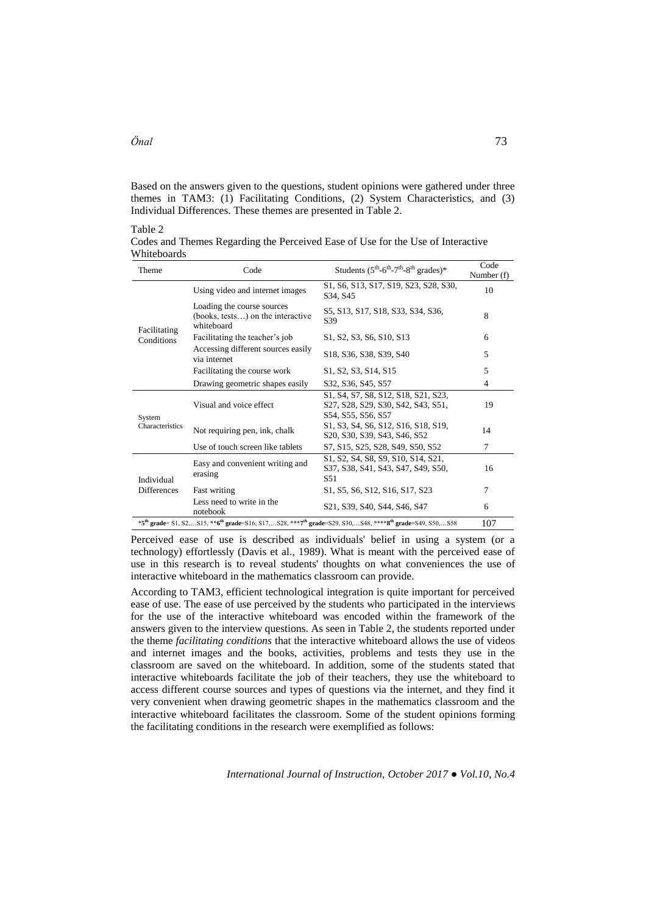Based on the answers given to the questions, student opinions were gathered under three themes in TAM3: (1) Facilitating Conditions, (2) System Characteristics, and (3) Individual Differences. These themes are presented in Table 2.

Table 2

| Codes and Themes Regarding the Perceived Ease of Use for the Use of Interactive |  |  |  |  |
|---------------------------------------------------------------------------------|--|--|--|--|
| Whiteboards                                                                     |  |  |  |  |

| Theme                                                                                                                                                      | Code                                                                          | Students $(5^{th}$ - $6^{th}$ - $7^{th}$ - $8^{th}$ grades)*                                                                                                                                            | Code<br>Number (f) |
|------------------------------------------------------------------------------------------------------------------------------------------------------------|-------------------------------------------------------------------------------|---------------------------------------------------------------------------------------------------------------------------------------------------------------------------------------------------------|--------------------|
| Facilitating<br>Conditions                                                                                                                                 | Using video and internet images                                               | S1, S6, S13, S17, S19, S23, S28, S30,<br>S34, S45                                                                                                                                                       | 10                 |
|                                                                                                                                                            | Loading the course sources<br>(books, tests) on the interactive<br>whiteboard | S5, S13, S17, S18, S33, S34, S36,<br>S39                                                                                                                                                                | 8                  |
|                                                                                                                                                            | Facilitating the teacher's job                                                | S <sub>1</sub> , S <sub>2</sub> , S <sub>3</sub> , S <sub>6</sub> , S <sub>10</sub> , S <sub>13</sub>                                                                                                   | 6                  |
|                                                                                                                                                            | Accessing different sources easily<br>via internet                            | S <sub>18</sub> , S <sub>36</sub> , S <sub>38</sub> , S <sub>39</sub> , S <sub>40</sub>                                                                                                                 | 5                  |
|                                                                                                                                                            | Facilitating the course work                                                  | S <sub>1</sub> , S <sub>2</sub> , S <sub>3</sub> , S <sub>14</sub> , S <sub>15</sub>                                                                                                                    | 5                  |
|                                                                                                                                                            | Drawing geometric shapes easily                                               | S32, S36, S45, S57                                                                                                                                                                                      | 4                  |
| System<br>Characteristics                                                                                                                                  | Visual and voice effect                                                       | S <sub>1</sub> , S <sub>4</sub> , S <sub>7</sub> , S <sub>8</sub> , S <sub>12</sub> , S <sub>18</sub> , S <sub>21</sub> , S <sub>23</sub> ,<br>S27, S28, S29, S30, S42, S43, S51,<br>S54, S55, S56, S57 | 19                 |
|                                                                                                                                                            | Not requiring pen, ink, chalk                                                 | S <sub>1</sub> , S <sub>3</sub> , S <sub>4</sub> , S <sub>6</sub> , S <sub>12</sub> , S <sub>16</sub> , S <sub>18</sub> , S <sub>19</sub> ,<br>S20, S30, S39, S43, S46, S52                             | 14                 |
|                                                                                                                                                            | Use of touch screen like tablets                                              | S7, S15, S25, S28, S49, S50, S52                                                                                                                                                                        | 7                  |
| Individual<br><b>Differences</b>                                                                                                                           | Easy and convenient writing and<br>erasing                                    | S1, S2, S4, S8, S9, S10, S14, S21,<br>S37, S38, S41, S43, S47, S49, S50,<br>S51                                                                                                                         | 16                 |
|                                                                                                                                                            | <b>Fast writing</b>                                                           | S <sub>1</sub> , S <sub>5</sub> , S <sub>6</sub> , S <sub>12</sub> , S <sub>16</sub> , S <sub>17</sub> , S <sub>23</sub>                                                                                | 7                  |
|                                                                                                                                                            | Less need to write in the<br>notebook                                         | S21, S39, S40, S44, S46, S47                                                                                                                                                                            | 6                  |
| *5 <sup>th</sup> grade= S1, S2,S15, **6 <sup>th</sup> grade= S16, S17,S28, ***7 <sup>th</sup> grade= S29, S30,S48, ****8 <sup>th</sup> grade= S49, S50,S58 |                                                                               |                                                                                                                                                                                                         |                    |

Perceived ease of use is described as individuals' belief in using a system (or a technology) effortlessly (Davis et al., 1989). What is meant with the perceived ease of use in this research is to reveal students' thoughts on what conveniences the use of interactive whiteboard in the mathematics classroom can provide.

According to TAM3, efficient technological integration is quite important for perceived ease of use. The ease of use perceived by the students who participated in the interviews for the use of the interactive whiteboard was encoded within the framework of the answers given to the interview questions. As seen in Table 2, the students reported under the theme *facilitating conditions* that the interactive whiteboard allows the use of videos and internet images and the books, activities, problems and tests they use in the classroom are saved on the whiteboard. In addition, some of the students stated that interactive whiteboards facilitate the job of their teachers, they use the whiteboard to access different course sources and types of questions via the internet, and they find it very convenient when drawing geometric shapes in the mathematics classroom and the interactive whiteboard facilitates the classroom. Some of the student opinions forming the facilitating conditions in the research were exemplified as follows: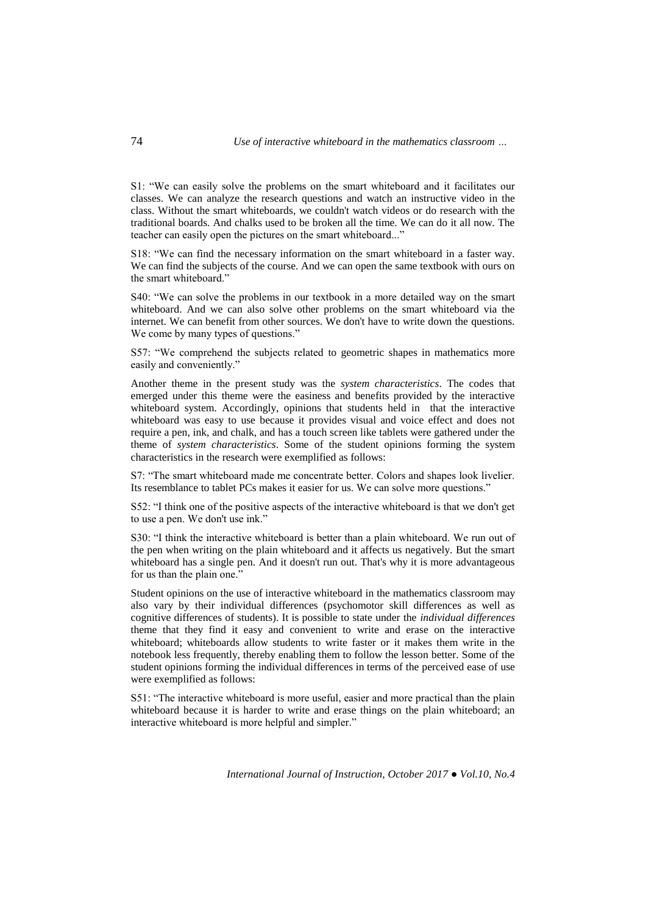S1: "We can easily solve the problems on the smart whiteboard and it facilitates our classes. We can analyze the research questions and watch an instructive video in the class. Without the smart whiteboards, we couldn't watch videos or do research with the traditional boards. And chalks used to be broken all the time. We can do it all now. The teacher can easily open the pictures on the smart whiteboard..."

S18: "We can find the necessary information on the smart whiteboard in a faster way. We can find the subjects of the course. And we can open the same textbook with ours on the smart whiteboard."

S40: "We can solve the problems in our textbook in a more detailed way on the smart whiteboard. And we can also solve other problems on the smart whiteboard via the internet. We can benefit from other sources. We don't have to write down the questions. We come by many types of questions."

S57: "We comprehend the subjects related to geometric shapes in mathematics more easily and conveniently."

Another theme in the present study was the *system characteristics*. The codes that emerged under this theme were the easiness and benefits provided by the interactive whiteboard system. Accordingly, opinions that students held in that the interactive whiteboard was easy to use because it provides visual and voice effect and does not require a pen, ink, and chalk, and has a touch screen like tablets were gathered under the theme of *system characteristics*. Some of the student opinions forming the system characteristics in the research were exemplified as follows:

S7: "The smart whiteboard made me concentrate better. Colors and shapes look livelier. Its resemblance to tablet PCs makes it easier for us. We can solve more questions."

S52: "I think one of the positive aspects of the interactive whiteboard is that we don't get to use a pen. We don't use ink."

S30: "I think the interactive whiteboard is better than a plain whiteboard. We run out of the pen when writing on the plain whiteboard and it affects us negatively. But the smart whiteboard has a single pen. And it doesn't run out. That's why it is more advantageous for us than the plain one."

Student opinions on the use of interactive whiteboard in the mathematics classroom may also vary by their individual differences (psychomotor skill differences as well as cognitive differences of students). It is possible to state under the *individual differences* theme that they find it easy and convenient to write and erase on the interactive whiteboard; whiteboards allow students to write faster or it makes them write in the notebook less frequently, thereby enabling them to follow the lesson better. Some of the student opinions forming the individual differences in terms of the perceived ease of use were exemplified as follows:

S51: "The interactive whiteboard is more useful, easier and more practical than the plain whiteboard because it is harder to write and erase things on the plain whiteboard; an interactive whiteboard is more helpful and simpler."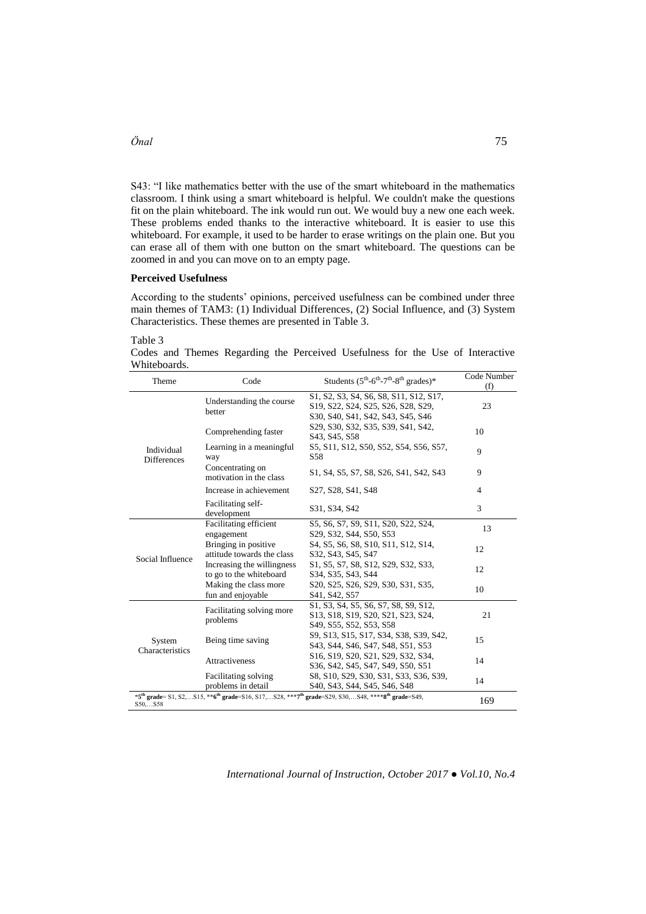S43: "I like mathematics better with the use of the smart whiteboard in the mathematics classroom. I think using a smart whiteboard is helpful. We couldn't make the questions fit on the plain whiteboard. The ink would run out. We would buy a new one each week. These problems ended thanks to the interactive whiteboard. It is easier to use this whiteboard. For example, it used to be harder to erase writings on the plain one. But you can erase all of them with one button on the smart whiteboard. The questions can be zoomed in and you can move on to an empty page.

# **Perceived Usefulness**

According to the students' opinions, perceived usefulness can be combined under three main themes of TAM3: (1) Individual Differences, (2) Social Influence, and (3) System Characteristics. These themes are presented in Table 3.

#### Table 3

Codes and Themes Regarding the Perceived Usefulness for the Use of Interactive Whiteboards.

| Theme                            | Code                                                  | Students $(5^{th} - 6^{th} - 7^{th} - 8^{th}$ grades)*                                                                                                                                                       | Code Number<br>(f) |
|----------------------------------|-------------------------------------------------------|--------------------------------------------------------------------------------------------------------------------------------------------------------------------------------------------------------------|--------------------|
| Individual<br><b>Differences</b> | Understanding the course<br>better                    | S1, S2, S3, S4, S6, S8, S11, S12, S17,<br>S <sub>19</sub> , S <sub>22</sub> , S <sub>24</sub> , S <sub>25</sub> , S <sub>26</sub> , S <sub>28</sub> , S <sub>29</sub> ,<br>S30, S40, S41, S42, S43, S45, S46 | 23                 |
|                                  | Comprehending faster                                  | S29, S30, S32, S35, S39, S41, S42,<br>S43, S45, S58                                                                                                                                                          | 10                 |
|                                  | Learning in a meaningful<br>way                       | S5, S11, S12, S50, S52, S54, S56, S57,<br>S58                                                                                                                                                                | 9                  |
|                                  | Concentrating on<br>motivation in the class           | S <sub>1</sub> , S <sub>4</sub> , S <sub>5</sub> , S <sub>7</sub> , S <sub>8</sub> , S <sub>26</sub> , S <sub>41</sub> , S <sub>42</sub> , S <sub>43</sub>                                                   | 9                  |
|                                  | Increase in achievement                               | S27, S28, S41, S48                                                                                                                                                                                           | 4                  |
|                                  | Facilitating self-<br>development                     | S31, S34, S42                                                                                                                                                                                                | 3                  |
| Social Influence                 | Facilitating efficient<br>engagement                  | S5, S6, S7, S9, S11, S20, S22, S24,<br>S <sub>29</sub> , S <sub>32</sub> , S <sub>44</sub> , S <sub>50</sub> , S <sub>53</sub>                                                                               | 13                 |
|                                  | Bringing in positive<br>attitude towards the class    | S4, S5, S6, S8, S10, S11, S12, S14,<br>S32, S43, S45, S47                                                                                                                                                    | 12                 |
|                                  | Increasing the willingness<br>to go to the whiteboard | S <sub>1</sub> , S <sub>5</sub> , S <sub>7</sub> , S <sub>8</sub> , S <sub>12</sub> , S <sub>29</sub> , S <sub>32</sub> , S <sub>33</sub> ,<br>S34, S35, S43, S44                                            | 12                 |
|                                  | Making the class more<br>fun and enjoyable            | S20, S25, S26, S29, S30, S31, S35,<br>S41, S42, S57                                                                                                                                                          | 10                 |
| System<br>Characteristics        | Facilitating solving more<br>problems                 | S1, S3, S4, S5, S6, S7, S8, S9, S12,<br>S13, S18, S19, S20, S21, S23, S24,<br>S49, S55, S52, S53, S58                                                                                                        | 21                 |
|                                  | Being time saving                                     | S9, S13, S15, S17, S34, S38, S39, S42,<br>S43, S44, S46, S47, S48, S51, S53                                                                                                                                  | 15                 |
|                                  | Attractiveness                                        | S <sub>16</sub> , S <sub>19</sub> , S <sub>20</sub> , S <sub>21</sub> , S <sub>29</sub> , S <sub>32</sub> , S <sub>34</sub> ,<br>S36, S42, S45, S47, S49, S50, S51                                           | 14                 |
|                                  | <b>Facilitating solving</b><br>problems in detail     | S8, S10, S29, S30, S31, S33, S36, S39,<br>S40, S43, S44, S45, S46, S48                                                                                                                                       | 14                 |
| S50,S58                          |                                                       | *5 <sup>th</sup> grade= S1, S2,S15, **6 <sup>th</sup> grade= S16, S17,S28, ***7 <sup>th</sup> grade= S29, S30,S48, ****8 <sup>th</sup> grade= S49,                                                           | 169                |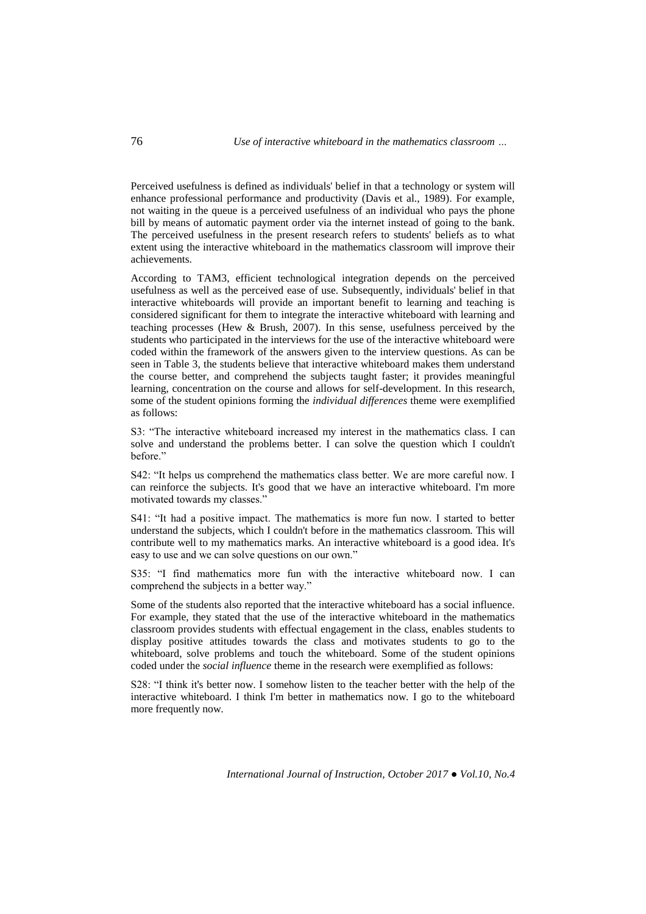Perceived usefulness is defined as individuals' belief in that a technology or system will enhance professional performance and productivity (Davis et al., 1989). For example, not waiting in the queue is a perceived usefulness of an individual who pays the phone bill by means of automatic payment order via the internet instead of going to the bank. The perceived usefulness in the present research refers to students' beliefs as to what extent using the interactive whiteboard in the mathematics classroom will improve their achievements.

According to TAM3, efficient technological integration depends on the perceived usefulness as well as the perceived ease of use. Subsequently, individuals' belief in that interactive whiteboards will provide an important benefit to learning and teaching is considered significant for them to integrate the interactive whiteboard with learning and teaching processes (Hew & Brush, 2007). In this sense, usefulness perceived by the students who participated in the interviews for the use of the interactive whiteboard were coded within the framework of the answers given to the interview questions. As can be seen in Table 3, the students believe that interactive whiteboard makes them understand the course better, and comprehend the subjects taught faster; it provides meaningful learning, concentration on the course and allows for self-development. In this research, some of the student opinions forming the *individual differences* theme were exemplified as follows:

S3: "The interactive whiteboard increased my interest in the mathematics class. I can solve and understand the problems better. I can solve the question which I couldn't before."

S42: "It helps us comprehend the mathematics class better. We are more careful now. I can reinforce the subjects. It's good that we have an interactive whiteboard. I'm more motivated towards my classes."

S41: "It had a positive impact. The mathematics is more fun now. I started to better understand the subjects, which I couldn't before in the mathematics classroom. This will contribute well to my mathematics marks. An interactive whiteboard is a good idea. It's easy to use and we can solve questions on our own."

S35: "I find mathematics more fun with the interactive whiteboard now. I can comprehend the subjects in a better way."

Some of the students also reported that the interactive whiteboard has a social influence. For example, they stated that the use of the interactive whiteboard in the mathematics classroom provides students with effectual engagement in the class, enables students to display positive attitudes towards the class and motivates students to go to the whiteboard, solve problems and touch the whiteboard. Some of the student opinions coded under the *social influence* theme in the research were exemplified as follows:

S28: "I think it's better now. I somehow listen to the teacher better with the help of the interactive whiteboard. I think I'm better in mathematics now. I go to the whiteboard more frequently now.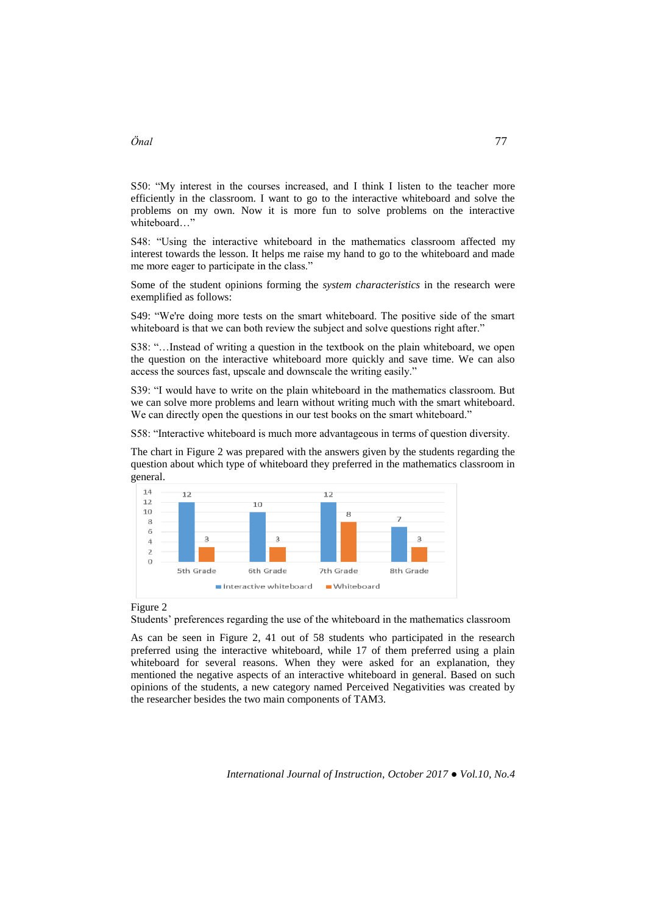S50: "My interest in the courses increased, and I think I listen to the teacher more efficiently in the classroom. I want to go to the interactive whiteboard and solve the problems on my own. Now it is more fun to solve problems on the interactive whiteboard…"

S48: "Using the interactive whiteboard in the mathematics classroom affected my interest towards the lesson. It helps me raise my hand to go to the whiteboard and made me more eager to participate in the class."

Some of the student opinions forming the *system characteristics* in the research were exemplified as follows:

S49: "We're doing more tests on the smart whiteboard. The positive side of the smart whiteboard is that we can both review the subject and solve questions right after."

S38: "…Instead of writing a question in the textbook on the plain whiteboard, we open the question on the interactive whiteboard more quickly and save time. We can also access the sources fast, upscale and downscale the writing easily."

S39: "I would have to write on the plain whiteboard in the mathematics classroom. But we can solve more problems and learn without writing much with the smart whiteboard. We can directly open the questions in our test books on the smart whiteboard."

S58: "Interactive whiteboard is much more advantageous in terms of question diversity.

The chart in Figure 2 was prepared with the answers given by the students regarding the question about which type of whiteboard they preferred in the mathematics classroom in general.



#### Figure 2

Students' preferences regarding the use of the whiteboard in the mathematics classroom

As can be seen in Figure 2, 41 out of 58 students who participated in the research preferred using the interactive whiteboard, while 17 of them preferred using a plain whiteboard for several reasons. When they were asked for an explanation, they mentioned the negative aspects of an interactive whiteboard in general. Based on such opinions of the students, a new category named Perceived Negativities was created by the researcher besides the two main components of TAM3.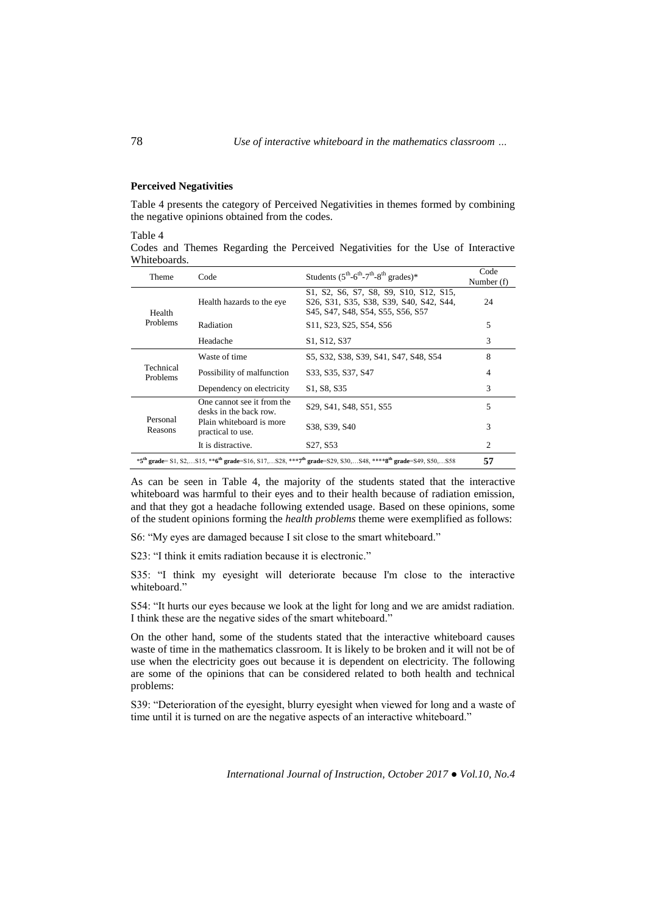# **Perceived Negativities**

Table 4 presents the category of Perceived Negativities in themes formed by combining the negative opinions obtained from the codes.

### Table 4

Codes and Themes Regarding the Perceived Negativities for the Use of Interactive Whiteboards.

| Theme                                                                                                                                                      | Code                                                 | Students $(5th-6th-7th-8th$ grades)*                                                                                                                                                                             | Code<br>Number (f) |
|------------------------------------------------------------------------------------------------------------------------------------------------------------|------------------------------------------------------|------------------------------------------------------------------------------------------------------------------------------------------------------------------------------------------------------------------|--------------------|
| Health<br>Problems                                                                                                                                         | Health hazards to the eye                            | S1, S2, S6, S7, S8, S9, S10, S12, S15,<br>S26, S31, S35, S38, S39, S40, S42, S44,<br>S <sub>45</sub> , S <sub>47</sub> , S <sub>48</sub> , S <sub>54</sub> , S <sub>55</sub> , S <sub>56</sub> , S <sub>57</sub> | 24                 |
|                                                                                                                                                            | Radiation                                            | S <sub>11</sub> , S <sub>23</sub> , S <sub>25</sub> , S <sub>54</sub> , S <sub>56</sub>                                                                                                                          | 5                  |
|                                                                                                                                                            | Headache                                             | S <sub>1</sub> , S <sub>12</sub> , S <sub>37</sub>                                                                                                                                                               | 3                  |
| Technical<br>Problems                                                                                                                                      | Waste of time                                        | S5, S32, S38, S39, S41, S47, S48, S54                                                                                                                                                                            | 8                  |
|                                                                                                                                                            | Possibility of malfunction                           | S33, S35, S37, S47                                                                                                                                                                                               | $\overline{4}$     |
|                                                                                                                                                            | Dependency on electricity                            | S <sub>1</sub> , S <sub>8</sub> , S <sub>35</sub>                                                                                                                                                                | 3                  |
| Personal<br>Reasons                                                                                                                                        | One cannot see it from the<br>desks in the back row. | S <sub>29</sub> , S <sub>41</sub> , S <sub>48</sub> , S <sub>51</sub> , S <sub>55</sub>                                                                                                                          | 5                  |
|                                                                                                                                                            | Plain whiteboard is more<br>practical to use.        | S38, S39, S40                                                                                                                                                                                                    | 3                  |
|                                                                                                                                                            | It is distractive.                                   | S <sub>27</sub> , S <sub>53</sub>                                                                                                                                                                                | $\overline{c}$     |
| *5 <sup>th</sup> grade= S1, S2,S15, **6 <sup>th</sup> grade= S16, S17,S28, ***7 <sup>th</sup> grade= S29, S30,S48, ****8 <sup>th</sup> grade= S49, S50,S58 |                                                      |                                                                                                                                                                                                                  | 57                 |

As can be seen in Table 4, the majority of the students stated that the interactive whiteboard was harmful to their eyes and to their health because of radiation emission, and that they got a headache following extended usage. Based on these opinions, some of the student opinions forming the *health problems* theme were exemplified as follows:

S6: "My eyes are damaged because I sit close to the smart whiteboard."

S23: "I think it emits radiation because it is electronic."

S35: "I think my eyesight will deteriorate because I'm close to the interactive whiteboard."

S54: "It hurts our eyes because we look at the light for long and we are amidst radiation. I think these are the negative sides of the smart whiteboard."

On the other hand, some of the students stated that the interactive whiteboard causes waste of time in the mathematics classroom. It is likely to be broken and it will not be of use when the electricity goes out because it is dependent on electricity. The following are some of the opinions that can be considered related to both health and technical problems:

S39: "Deterioration of the eyesight, blurry eyesight when viewed for long and a waste of time until it is turned on are the negative aspects of an interactive whiteboard."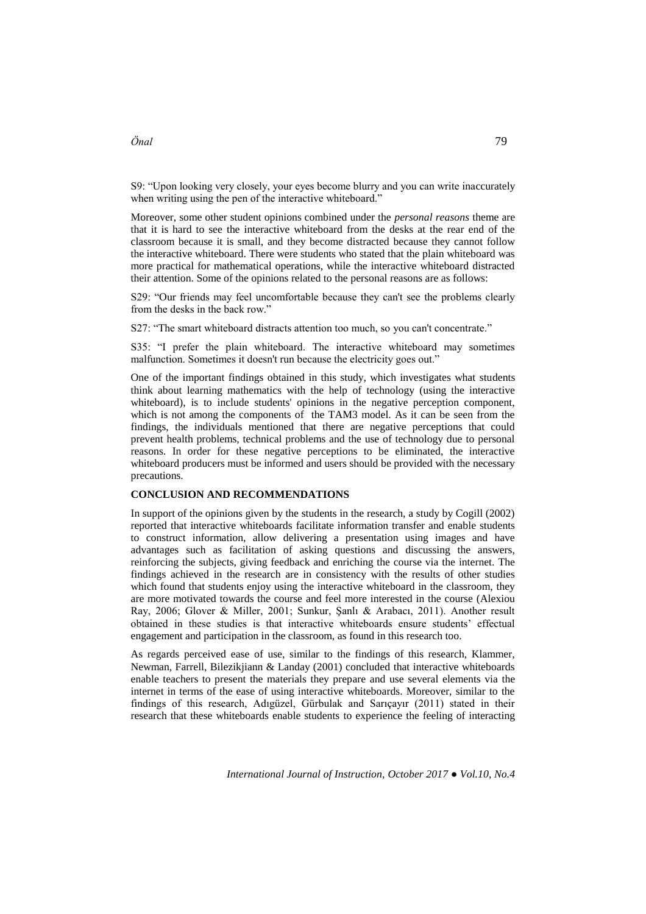# S9: "Upon looking very closely, your eyes become blurry and you can write inaccurately when writing using the pen of the interactive whiteboard."

Moreover, some other student opinions combined under the *personal reasons* theme are that it is hard to see the interactive whiteboard from the desks at the rear end of the classroom because it is small, and they become distracted because they cannot follow the interactive whiteboard. There were students who stated that the plain whiteboard was more practical for mathematical operations, while the interactive whiteboard distracted their attention. Some of the opinions related to the personal reasons are as follows:

S29: "Our friends may feel uncomfortable because they can't see the problems clearly from the desks in the back row."

S27: "The smart whiteboard distracts attention too much, so you can't concentrate."

S35: "I prefer the plain whiteboard. The interactive whiteboard may sometimes malfunction. Sometimes it doesn't run because the electricity goes out."

One of the important findings obtained in this study, which investigates what students think about learning mathematics with the help of technology (using the interactive whiteboard), is to include students' opinions in the negative perception component, which is not among the components of the TAM3 model. As it can be seen from the findings, the individuals mentioned that there are negative perceptions that could prevent health problems, technical problems and the use of technology due to personal reasons. In order for these negative perceptions to be eliminated, the interactive whiteboard producers must be informed and users should be provided with the necessary precautions.

# **CONCLUSION AND RECOMMENDATIONS**

In support of the opinions given by the students in the research, a study by Cogill (2002) reported that interactive whiteboards facilitate information transfer and enable students to construct information, allow delivering a presentation using images and have advantages such as facilitation of asking questions and discussing the answers, reinforcing the subjects, giving feedback and enriching the course via the internet. The findings achieved in the research are in consistency with the results of other studies which found that students enjoy using the interactive whiteboard in the classroom, they are more motivated towards the course and feel more interested in the course (Alexiou Ray, 2006; Glover & Miller, 2001; Sunkur, Şanlı & Arabacı, 2011). Another result obtained in these studies is that interactive whiteboards ensure students' effectual engagement and participation in the classroom, as found in this research too.

As regards perceived ease of use, similar to the findings of this research, Klammer, Newman, Farrell, Bilezikjiann & Landay (2001) concluded that interactive whiteboards enable teachers to present the materials they prepare and use several elements via the internet in terms of the ease of using interactive whiteboards. Moreover, similar to the findings of this research, Adıgüzel, Gürbulak and Sarıçayır (2011) stated in their research that these whiteboards enable students to experience the feeling of interacting

# *Önal* 79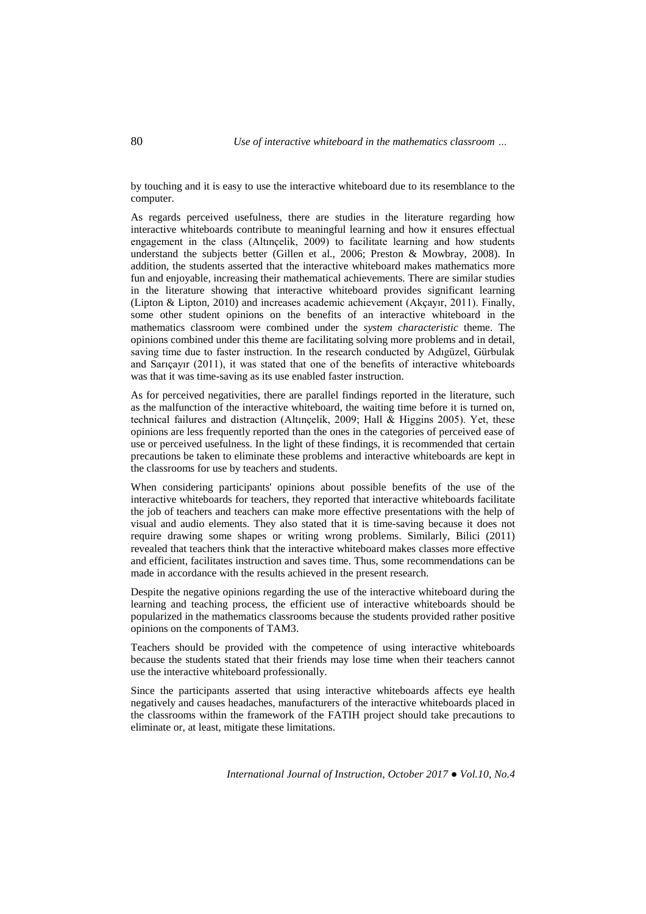by touching and it is easy to use the interactive whiteboard due to its resemblance to the computer.

As regards perceived usefulness, there are studies in the literature regarding how interactive whiteboards contribute to meaningful learning and how it ensures effectual engagement in the class (Altınçelik, 2009) to facilitate learning and how students understand the subjects better (Gillen et al., 2006; Preston & Mowbray, 2008). In addition, the students asserted that the interactive whiteboard makes mathematics more fun and enjoyable, increasing their mathematical achievements. There are similar studies in the literature showing that interactive whiteboard provides significant learning (Lipton & Lipton, 2010) and increases academic achievement (Akçayır, 2011). Finally, some other student opinions on the benefits of an interactive whiteboard in the mathematics classroom were combined under the *system characteristic* theme. The opinions combined under this theme are facilitating solving more problems and in detail, saving time due to faster instruction. In the research conducted by Adıgüzel, Gürbulak and Sarıçayır (2011), it was stated that one of the benefits of interactive whiteboards was that it was time-saving as its use enabled faster instruction.

As for perceived negativities, there are parallel findings reported in the literature, such as the malfunction of the interactive whiteboard, the waiting time before it is turned on, technical failures and distraction (Altınçelik, 2009; Hall & Higgins 2005). Yet, these opinions are less frequently reported than the ones in the categories of perceived ease of use or perceived usefulness. In the light of these findings, it is recommended that certain precautions be taken to eliminate these problems and interactive whiteboards are kept in the classrooms for use by teachers and students.

When considering participants' opinions about possible benefits of the use of the interactive whiteboards for teachers, they reported that interactive whiteboards facilitate the job of teachers and teachers can make more effective presentations with the help of visual and audio elements. They also stated that it is time-saving because it does not require drawing some shapes or writing wrong problems. Similarly, Bilici (2011) revealed that teachers think that the interactive whiteboard makes classes more effective and efficient, facilitates instruction and saves time. Thus, some recommendations can be made in accordance with the results achieved in the present research.

Despite the negative opinions regarding the use of the interactive whiteboard during the learning and teaching process, the efficient use of interactive whiteboards should be popularized in the mathematics classrooms because the students provided rather positive opinions on the components of TAM3.

Teachers should be provided with the competence of using interactive whiteboards because the students stated that their friends may lose time when their teachers cannot use the interactive whiteboard professionally.

Since the participants asserted that using interactive whiteboards affects eye health negatively and causes headaches, manufacturers of the interactive whiteboards placed in the classrooms within the framework of the FATIH project should take precautions to eliminate or, at least, mitigate these limitations.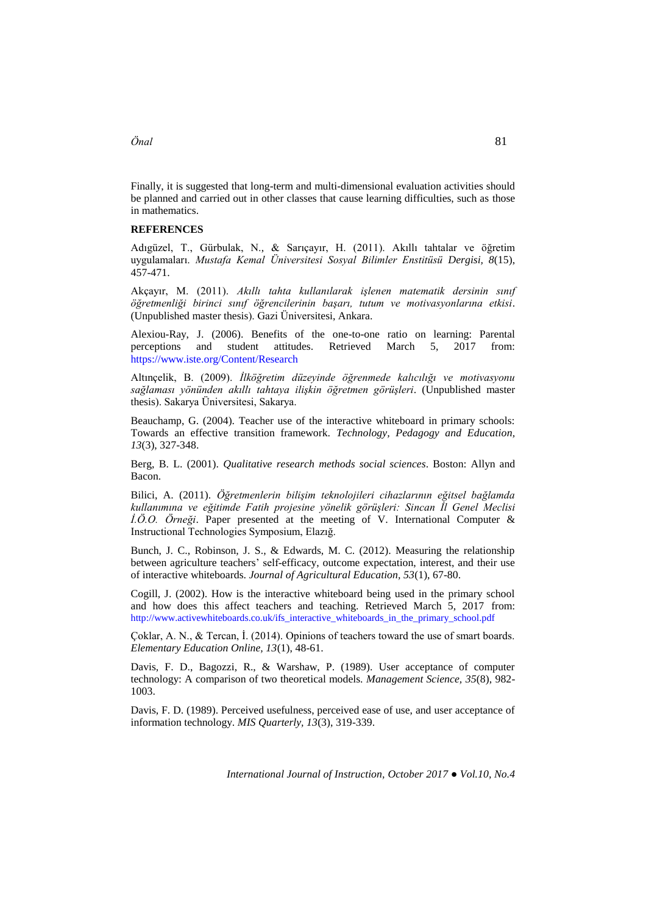Finally, it is suggested that long-term and multi-dimensional evaluation activities should be planned and carried out in other classes that cause learning difficulties, such as those in mathematics.

#### **REFERENCES**

Adıgüzel, T., Gürbulak, N., & Sarıçayır, H. (2011). Akıllı tahtalar ve öğretim uygulamaları. *Mustafa Kemal Üniversitesi Sosyal Bilimler Enstitüsü Dergisi, 8*(15), 457-471.

Akçayır, M. (2011). *Akıllı tahta kullanılarak işlenen matematik dersinin sınıf öğretmenliği birinci sınıf öğrencilerinin başarı, tutum ve motivasyonlarına etkisi*. (Unpublished master thesis). Gazi Üniversitesi, Ankara.

Alexiou-Ray, J. (2006). Benefits of the one-to-one ratio on learning: Parental perceptions and student attitudes. Retrieved March 5, 2017 from: <https://www.iste.org/Content/Research>

Altınçelik, B. (2009). *İlköğretim düzeyinde öğrenmede kalıcılığı ve motivasyonu sağlaması yönünden akıllı tahtaya ilişkin öğretmen görüşleri*. (Unpublished master thesis). Sakarya Üniversitesi, Sakarya.

Beauchamp, G. (2004). Teacher use of the interactive whiteboard in primary schools: Towards an effective transition framework. *Technology, Pedagogy and Education, 13*(3), 327-348.

Berg, B. L. (2001). *Qualitative research methods social sciences*. Boston: Allyn and Bacon.

Bilici, A. (2011). *Öğretmenlerin bilişim teknolojileri cihazlarının eğitsel bağlamda kullanımına ve eğitimde Fatih projesine yönelik görüşleri: Sincan İl Genel Meclisi İ.Ö.O. Örneği*. Paper presented at the meeting of V. International Computer & Instructional Technologies Symposium, Elazığ.

Bunch, J. C., Robinson, J. S., & Edwards, M. C. (2012). Measuring the relationship between agriculture teachers' self-efficacy, outcome expectation, interest, and their use of interactive whiteboards. *Journal of Agricultural Education, 53*(1), 67-80.

Cogill, J. (2002). How is the interactive whiteboard being used in the primary school and how does this affect teachers and teaching. Retrieved March 5, 2017 from: [http://www.activewhiteboards.co.uk/ifs\\_interactive\\_whiteboards\\_in\\_the\\_primary\\_school.pdf](http://www.activewhiteboards.co.uk/ifs_interactive_whiteboards_in_the_primary_school.pdf)

Çoklar, A. N., & Tercan, İ. (2014). Opinions of teachers toward the use of smart boards. *Elementary Education Online, 13*(1), 48-61.

Davis, F. D., Bagozzi, R., & Warshaw, P. (1989). User acceptance of computer technology: A comparison of two theoretical models. *Management Science, 35*(8), 982- 1003.

Davis, F. D. (1989). Perceived usefulness, perceived ease of use, and user acceptance of information technology. *MIS Quarterly, 13*(3), 319-339.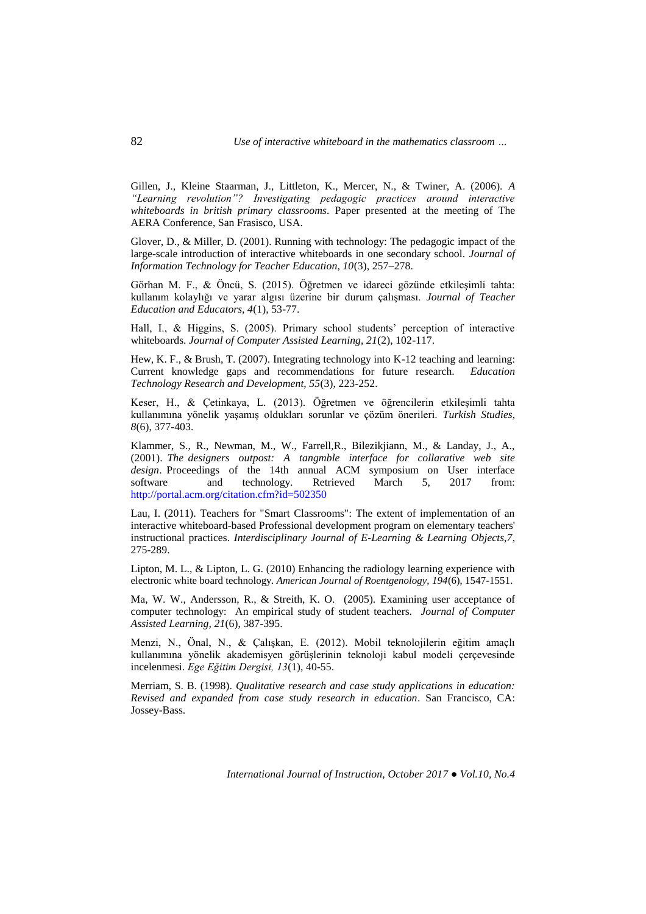Gillen, J., Kleine Staarman, J., Littleton, K., Mercer, N., & Twiner, A. (2006). *A "Learning revolution"? Investigating pedagogic practices around interactive whiteboards in british primary classrooms*. Paper presented at the meeting of The AERA Conference, San Frasisco, USA.

Glover, D., & Miller, D. (2001). Running with technology: The pedagogic impact of the large-scale introduction of interactive whiteboards in one secondary school. *Journal of Information Technology for Teacher Education, 10*(3), 257–278.

Görhan M. F., & Öncü, S. (2015). Öğretmen ve idareci gözünde etkileşimli tahta: kullanım kolaylığı ve yarar algısı üzerine bir durum çalışması. *Journal of Teacher Education and Educators, 4*(1), 53-77.

Hall, I., & Higgins, S. (2005). Primary school students' perception of interactive whiteboards. *Journal of Computer Assisted Learning, 21*(2), 102-117.

Hew, K. F., & Brush, T. (2007). Integrating technology into K-12 teaching and learning: Current knowledge gaps and recommendations for future research. *Education Technology Research and Development, 55*(3), 223-252.

Keser, H., & Çetinkaya, L. (2013). Öğretmen ve öğrencilerin etkileşimli tahta kullanımına yönelik yaşamış oldukları sorunlar ve çözüm önerileri. *Turkish Studies, 8*(6), 377-403.

Klammer, S., R., Newman, M., W., Farrell,R., Bilezikjiann, M., & Landay, J., A., (2001). *The designers outpost: A tangmble interface for collarative web site design*. Proceedings of the 14th annual ACM symposium on User interface software and technology. Retrieved March 5, 2017 from: technology. Retrieved March 5, 2017 from: <http://portal.acm.org/citation.cfm?id=502350>

Lau, I. (2011). Teachers for "Smart Classrooms": The extent of implementation of an interactive whiteboard-based Professional development program on elementary teachers' instructional practices. *Interdisciplinary Journal of E-Learning & Learning Objects,7*, 275-289.

Lipton, M. L., & Lipton, L. G. (2010) Enhancing the radiology learning experience with electronic white board technology. *American Journal of Roentgenology, 194*(6), 1547-1551.

Ma, W. W., Andersson, R., & Streith, K. O. (2005). Examining user acceptance of computer technology: An empirical study of student teachers. *Journal of Computer Assisted Learning, 21*(6), 387-395.

Menzi, N., Önal, N., & Çalışkan, E. (2012). Mobil teknolojilerin eğitim amaçlı kullanımına yönelik akademisyen görüşlerinin teknoloji kabul modeli çerçevesinde incelenmesi. *Ege Eğitim Dergisi, 13*(1), 40-55.

Merriam, S. B. (1998). *Qualitative research and case study applications in education: Revised and expanded from case study research in education*. San Francisco, CA: Jossey-Bass.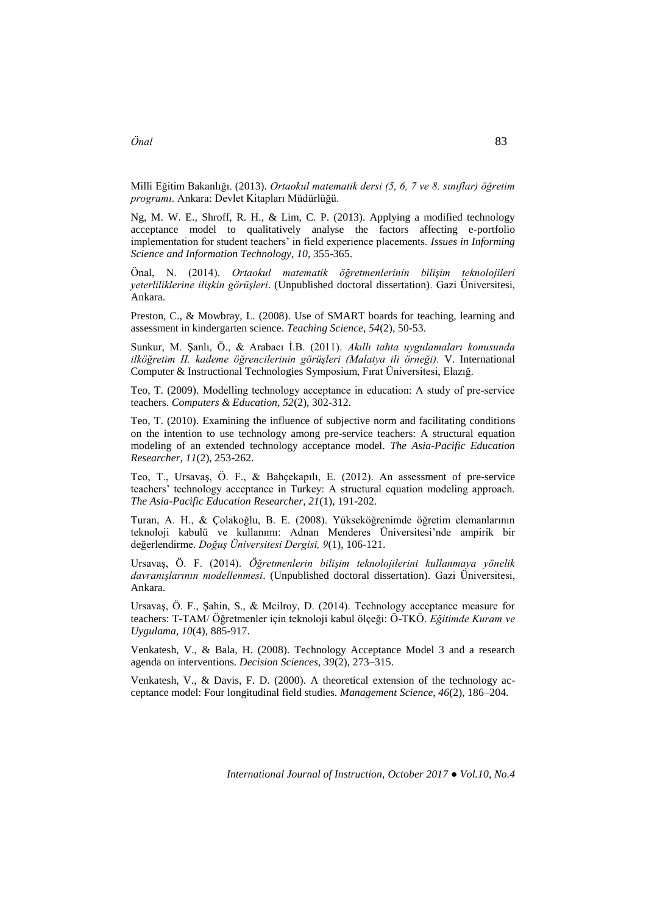Milli Eğitim Bakanlığı. (2013). *Ortaokul matematik dersi (5, 6, 7 ve 8. sınıflar) öğretim programı*. Ankara: Devlet Kitapları Müdürlüğü.

Ng, M. W. E., Shroff, R. H., & Lim, C. P. (2013). Applying a modified technology acceptance model to qualitatively analyse the factors affecting e-portfolio implementation for student teachers' in field experience placements. *Issues in Informing Science and Information Technology, 10*, 355-365.

Önal, N. (2014). *Ortaokul matematik öğretmenlerinin bilişim teknolojileri yeterliliklerine ilişkin görüşleri*. (Unpublished doctoral dissertation). Gazi Üniversitesi, Ankara.

Preston, C., & Mowbray, L. (2008). Use of SMART boards for teaching, learning and assessment in kindergarten science. *Teaching Science, 54*(2), 50-53.

Sunkur, M. Şanlı, Ö., & Arabacı İ.B. (2011). *Akıllı tahta uygulamaları konusunda ilköğretim II. kademe öğrencilerinin görüşleri (Malatya ili örneği).* V. International Computer & Instructional Technologies Symposium, Fırat Üniversitesi, Elazığ.

Teo, T. (2009). Modelling technology acceptance in education: A study of preservice teachers. *Computers & Education, 52*(2), 302-312.

Teo, T. (2010). Examining the influence of subjective norm and facilitating conditions on the intention to use technology among pre-service teachers: A structural equation modeling of an extended technology acceptance model. *The Asia-Pacific Education Researcher, 11*(2), 253-262.

Teo, T., Ursavaş, Ö. F., & Bahçekapılı, E. (2012). An assessment of pre-service teachers' technology acceptance in Turkey: A structural equation modeling approach. *The Asia-Pacific Education Researcher, 21*(1), 191-202.

Turan, A. H., & Çolakoğlu, B. E. (2008). Yükseköğrenimde öğretim elemanlarının teknoloji kabulü ve kullanımı: Adnan Menderes Üniversitesi'nde ampirik bir değerlendirme. *Doğuş Üniversitesi Dergisi, 9*(1), 106-121.

Ursavaş, Ö. F. (2014). *Öğretmenlerin bilişim teknolojilerini kullanmaya yönelik davranışlarının modellenmesi*. (Unpublished doctoral dissertation). Gazi Üniversitesi, Ankara.

Ursavaş, Ö. F., Şahin, S., & Mcilroy, D. (2014). Technology acceptance measure for teachers: T-TAM/ Öğretmenler için teknoloji kabul ölçeği: Ö-TKÖ. *Eğitimde Kuram ve Uygulama, 10*(4), 885-917.

Venkatesh, V., & Bala, H. (2008). Technology Acceptance Model 3 and a research agenda on interventions. *Decision Sciences, 39*(2), 273–315.

Venkatesh, V., & Davis, F. D. (2000). A theoretical extension of the technology acceptance model: Four longitudinal field studies. *Management Science, 46*(2), 186–204.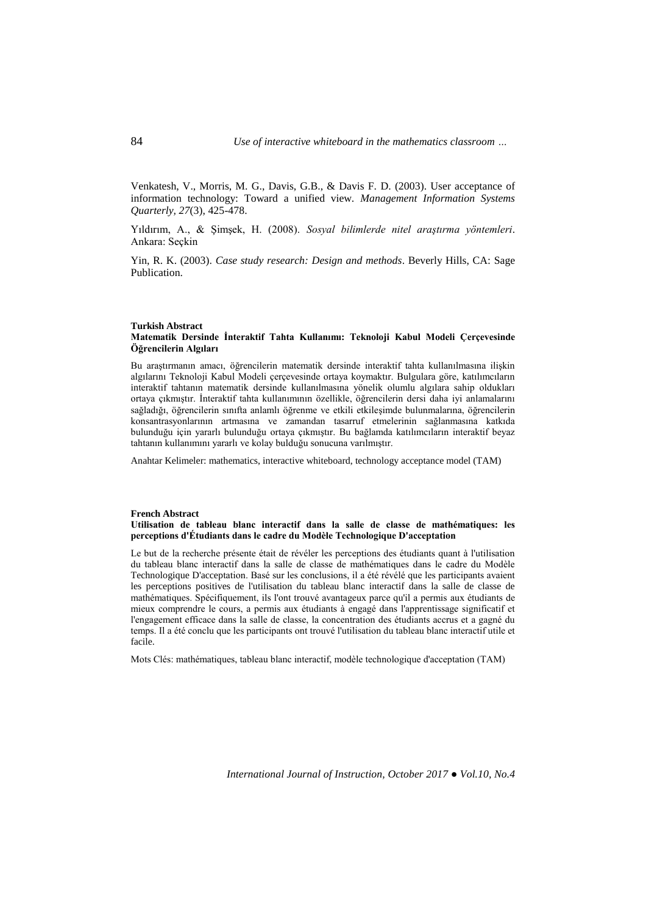Venkatesh, V., Morris, M. G., Davis, G.B., & Davis F. D. (2003). User acceptance of information technology: Toward a unified view. *Management Information Systems Quarterly, 27*(3), 425-478.

Yıldırım, A., & Şimşek, H. (2008). *Sosyal bilimlerde nitel araştırma yöntemleri*. Ankara: Seçkin

Yin, R. K. (2003). *Case study research: Design and methods*. Beverly Hills, CA: Sage Publication.

#### **Turkish Abstract Matematik Dersinde İnteraktif Tahta Kullanımı: Teknoloji Kabul Modeli Çerçevesinde Öğrencilerin Algıları**

Bu araştırmanın amacı, öğrencilerin matematik dersinde interaktif tahta kullanılmasına ilişkin algılarını Teknoloji Kabul Modeli çerçevesinde ortaya koymaktır. Bulgulara göre, katılımcıların interaktif tahtanın matematik dersinde kullanılmasına yönelik olumlu algılara sahip oldukları ortaya çıkmıştır. İnteraktif tahta kullanımının özellikle, öğrencilerin dersi daha iyi anlamalarını sağladığı, öğrencilerin sınıfta anlamlı öğrenme ve etkili etkileşimde bulunmalarına, öğrencilerin konsantrasyonlarının artmasına ve zamandan tasarruf etmelerinin sağlanmasına katkıda bulunduğu için yararlı bulunduğu ortaya çıkmıştır. Bu bağlamda katılımcıların interaktif beyaz tahtanın kullanımını yararlı ve kolay bulduğu sonucuna varılmıştır.

Anahtar Kelimeler: mathematics, interactive whiteboard, technology acceptance model (TAM)

#### **French Abstract**

#### **Utilisation de tableau blanc interactif dans la salle de classe de mathématiques: les perceptions d'Étudiants dans le cadre du Modèle Technologique D'acceptation**

Le but de la recherche présente était de révéler les perceptions des étudiants quant à l'utilisation du tableau blanc interactif dans la salle de classe de mathématiques dans le cadre du Modèle Technologique D'acceptation. Basé sur les conclusions, il a été révélé que les participants avaient les perceptions positives de l'utilisation du tableau blanc interactif dans la salle de classe de mathématiques. Spécifiquement, ils l'ont trouvé avantageux parce qu'il a permis aux étudiants de mieux comprendre le cours, a permis aux étudiants à engagé dans l'apprentissage significatif et l'engagement efficace dans la salle de classe, la concentration des étudiants accrus et a gagné du temps. Il a été conclu que les participants ont trouvé l'utilisation du tableau blanc interactif utile et facile.

Mots Clés: mathématiques, tableau blanc interactif, modèle technologique d'acceptation (TAM)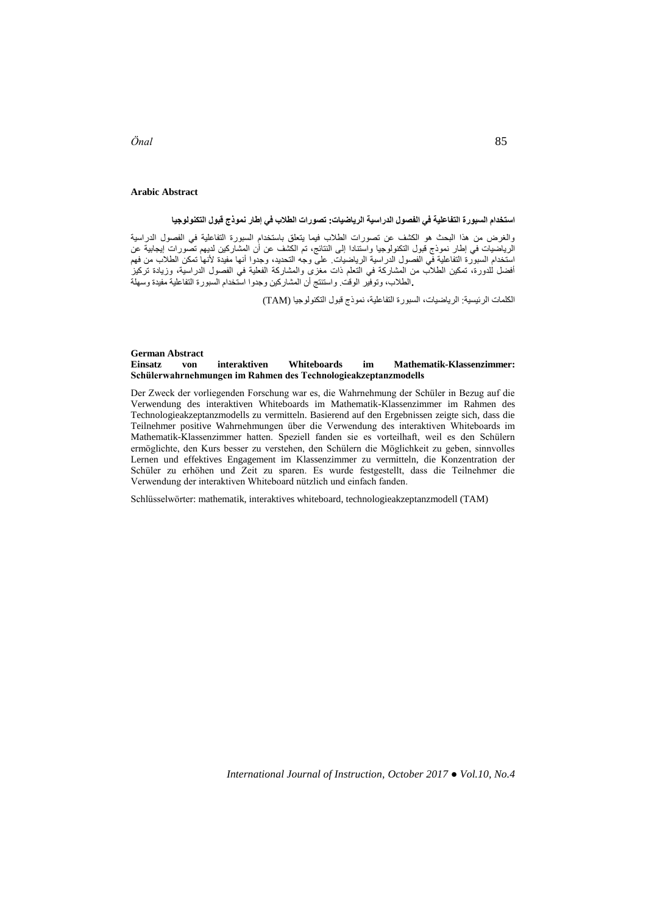#### **Arabic Abstract**

**استخدام السبورة التفاعلية في الفصول الدراسية الرياضيات: تصورات الطالب في إطار نموذج قبول التكنولوجيا**

والغرض من هذا البحث هو الكشف عن تصورات الطالب فيما يتعلق باستخدام السبورة التفاعلية في الفصول الدراسية الرياضيات في إطار نموذج قبول التكنولوجيا واستنادا إلى النتائج، تم الكشف عن أن المشاركين لديهم تصورات إيجابية عن استخدام السبورة التفاعلية في الفصول الدراسية الرياضيات. على وجه التحديد، وجدوا أنها مفيدة ألنها تمكن الطالب من فهم أفضل للدورة، تمكين الطالب من المشاركة في التعلم ذات مغزى والمشاركة الفعلية في الفصول الدراسية، وزيادة تركيز **.**الطالب، وتوفير الوقت. واستنتج أن المشاركين وجدوا استخدام السبورة التفاعلية مفيدة وسهلة

الكلمات الرئيسية: الرياضيات، السبورة التفاعلية، نموذج قبول التكنولوجيا (TAM(

#### **German Abstract Einsatz von interaktiven Whiteboards im Mathematik-Klassenzimmer: Schülerwahrnehmungen im Rahmen des Technologieakzeptanzmodells**

Der Zweck der vorliegenden Forschung war es, die Wahrnehmung der Schüler in Bezug auf die Verwendung des interaktiven Whiteboards im Mathematik-Klassenzimmer im Rahmen des Technologieakzeptanzmodells zu vermitteln. Basierend auf den Ergebnissen zeigte sich, dass die Teilnehmer positive Wahrnehmungen über die Verwendung des interaktiven Whiteboards im Mathematik-Klassenzimmer hatten. Speziell fanden sie es vorteilhaft, weil es den Schülern ermöglichte, den Kurs besser zu verstehen, den Schülern die Möglichkeit zu geben, sinnvolles Lernen und effektives Engagement im Klassenzimmer zu vermitteln, die Konzentration der Schüler zu erhöhen und Zeit zu sparen. Es wurde festgestellt, dass die Teilnehmer die Verwendung der interaktiven Whiteboard nützlich und einfach fanden.

Schlüsselwörter: mathematik, interaktives whiteboard, technologieakzeptanzmodell (TAM)